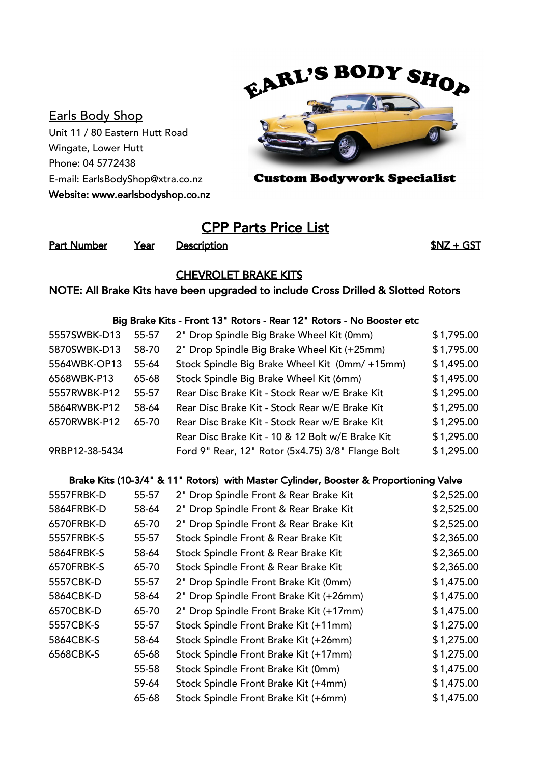# Earls Body Shop

Unit 11 / 80 Eastern Hutt Road Wingate, Lower Hutt Phone: 04 5772438 E-mail: EarlsBodyShop@xtra.co.nz Website: www.earlsbodyshop.co.nz



**Custom Bodywork Specialist** 

# CPP Parts Price List

Part Number Year Description **1996** Part Number SNZ + GST

### CHEVROLET BRAKE KITS

## NOTE: All Brake Kits have been upgraded to include Cross Drilled & Slotted Rotors

#### Big Brake Kits - Front 13" Rotors - Rear 12" Rotors - No Booster etc

| 5557SWBK-D13   | 55-57 | 2" Drop Spindle Big Brake Wheel Kit (0mm)         | \$1,795.00 |
|----------------|-------|---------------------------------------------------|------------|
| 5870SWBK-D13   | 58-70 | 2" Drop Spindle Big Brake Wheel Kit (+25mm)       | \$1,795.00 |
| 5564WBK-OP13   | 55-64 | Stock Spindle Big Brake Wheel Kit (0mm/+15mm)     | \$1,495.00 |
| 6568WBK-P13    | 65-68 | Stock Spindle Big Brake Wheel Kit (6mm)           | \$1,495.00 |
| 5557RWBK-P12   | 55-57 | Rear Disc Brake Kit - Stock Rear w/E Brake Kit    | \$1,295.00 |
| 5864RWBK-P12   | 58-64 | Rear Disc Brake Kit - Stock Rear w/E Brake Kit    | \$1,295.00 |
| 6570RWBK-P12   | 65-70 | Rear Disc Brake Kit - Stock Rear w/E Brake Kit    | \$1,295.00 |
|                |       | Rear Disc Brake Kit - 10 & 12 Bolt w/E Brake Kit  | \$1,295.00 |
| 9RBP12-38-5434 |       | Ford 9" Rear, 12" Rotor (5x4.75) 3/8" Flange Bolt | \$1,295.00 |

#### Brake Kits (10-3/4" & 11" Rotors) with Master Cylinder, Booster & Proportioning Valve

| 5557FRBK-D | 55-57 | 2" Drop Spindle Front & Rear Brake Kit  | \$2,525.00 |
|------------|-------|-----------------------------------------|------------|
| 5864FRBK-D | 58-64 | 2" Drop Spindle Front & Rear Brake Kit  | \$2,525.00 |
| 6570FRBK-D | 65-70 | 2" Drop Spindle Front & Rear Brake Kit  | \$2,525.00 |
| 5557FRBK-S | 55-57 | Stock Spindle Front & Rear Brake Kit    | \$2,365.00 |
| 5864FRBK-S | 58-64 | Stock Spindle Front & Rear Brake Kit    | \$2,365.00 |
| 6570FRBK-S | 65-70 | Stock Spindle Front & Rear Brake Kit    | \$2,365.00 |
| 5557CBK-D  | 55-57 | 2" Drop Spindle Front Brake Kit (0mm)   | \$1,475.00 |
| 5864CBK-D  | 58-64 | 2" Drop Spindle Front Brake Kit (+26mm) | \$1,475.00 |
| 6570CBK-D  | 65-70 | 2" Drop Spindle Front Brake Kit (+17mm) | \$1,475.00 |
| 5557CBK-S  | 55-57 | Stock Spindle Front Brake Kit (+11mm)   | \$1,275.00 |
| 5864CBK-S  | 58-64 | Stock Spindle Front Brake Kit (+26mm)   | \$1,275.00 |
| 6568CBK-S  | 65-68 | Stock Spindle Front Brake Kit (+17mm)   | \$1,275.00 |
|            | 55-58 | Stock Spindle Front Brake Kit (0mm)     | \$1,475.00 |
|            | 59-64 | Stock Spindle Front Brake Kit (+4mm)    | \$1,475.00 |
|            | 65-68 | Stock Spindle Front Brake Kit (+6mm)    | \$1,475.00 |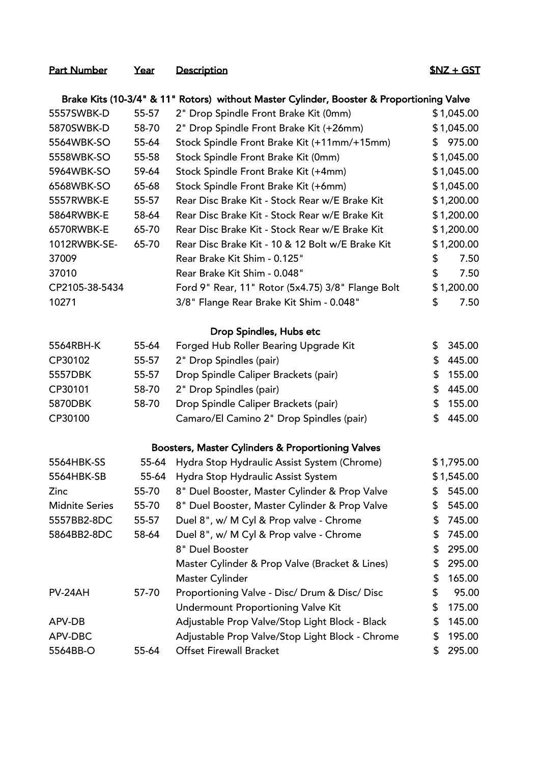# Part Number Year Description **1999** Part Number 1997

|                       | Brake Kits (10-3/4" & 11" Rotors) without Master Cylinder, Booster & Proportioning Valve |                                                   |    |            |  |
|-----------------------|------------------------------------------------------------------------------------------|---------------------------------------------------|----|------------|--|
| 5557SWBK-D            | 55-57                                                                                    | 2" Drop Spindle Front Brake Kit (0mm)             |    | \$1,045.00 |  |
| 5870SWBK-D            | 58-70                                                                                    | 2" Drop Spindle Front Brake Kit (+26mm)           |    | \$1,045.00 |  |
| 5564WBK-SO            | 55-64                                                                                    | Stock Spindle Front Brake Kit (+11mm/+15mm)       | \$ | 975.00     |  |
| 5558WBK-SO            | 55-58                                                                                    | Stock Spindle Front Brake Kit (0mm)               |    | \$1,045.00 |  |
| 5964WBK-SO            | 59-64                                                                                    | Stock Spindle Front Brake Kit (+4mm)              |    | \$1,045.00 |  |
| 6568WBK-SO            | 65-68                                                                                    | Stock Spindle Front Brake Kit (+6mm)              |    | \$1,045.00 |  |
| 5557RWBK-E            | 55-57                                                                                    | Rear Disc Brake Kit - Stock Rear w/E Brake Kit    |    | \$1,200.00 |  |
| 5864RWBK-E            | 58-64                                                                                    | Rear Disc Brake Kit - Stock Rear w/E Brake Kit    |    | \$1,200.00 |  |
| 6570RWBK-E            | 65-70                                                                                    | Rear Disc Brake Kit - Stock Rear w/E Brake Kit    |    | \$1,200.00 |  |
| 1012RWBK-SE-          | 65-70                                                                                    | Rear Disc Brake Kit - 10 & 12 Bolt w/E Brake Kit  |    | \$1,200.00 |  |
| 37009                 |                                                                                          | Rear Brake Kit Shim - 0.125"                      | \$ | 7.50       |  |
| 37010                 |                                                                                          | Rear Brake Kit Shim - 0.048"                      | \$ | 7.50       |  |
| CP2105-38-5434        |                                                                                          | Ford 9" Rear, 11" Rotor (5x4.75) 3/8" Flange Bolt |    | \$1,200.00 |  |
| 10271                 |                                                                                          | 3/8" Flange Rear Brake Kit Shim - 0.048"          | \$ | 7.50       |  |
|                       |                                                                                          | Drop Spindles, Hubs etc                           |    |            |  |
| 5564RBH-K             | 55-64                                                                                    | Forged Hub Roller Bearing Upgrade Kit             | \$ | 345.00     |  |
| CP30102               | 55-57                                                                                    | 2" Drop Spindles (pair)                           | \$ | 445.00     |  |
| 5557DBK               | 55-57                                                                                    | Drop Spindle Caliper Brackets (pair)              | \$ | 155.00     |  |
| CP30101               | 58-70                                                                                    | 2" Drop Spindles (pair)                           | \$ | 445.00     |  |
| 5870DBK               | 58-70                                                                                    | Drop Spindle Caliper Brackets (pair)              | \$ | 155.00     |  |
| CP30100               |                                                                                          | Camaro/El Camino 2" Drop Spindles (pair)          | \$ | 445.00     |  |
|                       |                                                                                          | Boosters, Master Cylinders & Proportioning Valves |    |            |  |
| 5564HBK-SS            | 55-64                                                                                    | Hydra Stop Hydraulic Assist System (Chrome)       |    | \$1,795.00 |  |
| 5564HBK-SB            | 55-64                                                                                    | Hydra Stop Hydraulic Assist System                |    | \$1,545.00 |  |
| Zinc                  | 55-70                                                                                    | 8" Duel Booster, Master Cylinder & Prop Valve     | \$ | 545.00     |  |
| <b>Midnite Series</b> | 55-70                                                                                    | 8" Duel Booster, Master Cylinder & Prop Valve     | \$ | 545.00     |  |
| 5557BB2-8DC           | 55-57                                                                                    | Duel 8", w/ M Cyl & Prop valve - Chrome           | \$ | 745.00     |  |
| 5864BB2-8DC           | 58-64                                                                                    | Duel 8", w/ M Cyl & Prop valve - Chrome           | \$ | 745.00     |  |
|                       |                                                                                          | 8" Duel Booster                                   | \$ | 295.00     |  |
|                       |                                                                                          | Master Cylinder & Prop Valve (Bracket & Lines)    | \$ | 295.00     |  |
|                       |                                                                                          | Master Cylinder                                   | \$ | 165.00     |  |
| PV-24AH               | 57-70                                                                                    | Proportioning Valve - Disc/ Drum & Disc/ Disc     | \$ | 95.00      |  |
|                       |                                                                                          | Undermount Proportioning Valve Kit                | \$ | 175.00     |  |
| APV-DB                |                                                                                          | Adjustable Prop Valve/Stop Light Block - Black    | \$ | 145.00     |  |
| APV-DBC               |                                                                                          | Adjustable Prop Valve/Stop Light Block - Chrome   | \$ | 195.00     |  |
| 5564BB-O              | 55-64                                                                                    | <b>Offset Firewall Bracket</b>                    | \$ | 295.00     |  |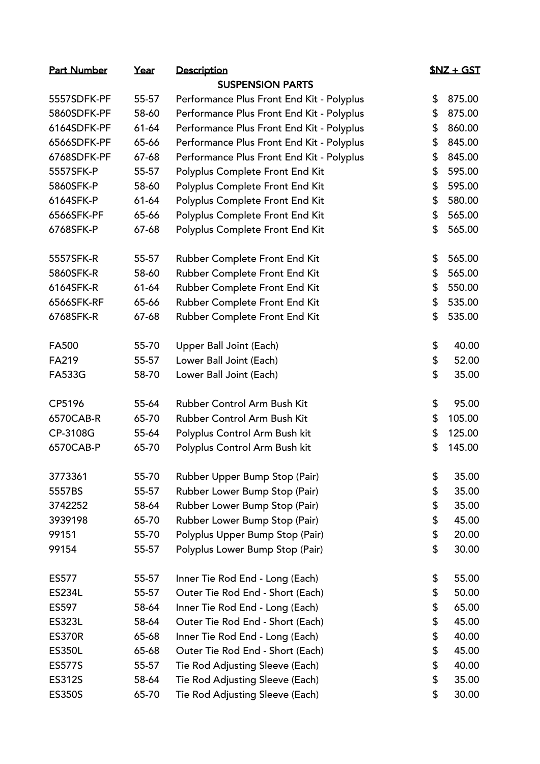| <u>Part Number</u> | Year  | Description                               | <u> \$NZ + GST</u> |
|--------------------|-------|-------------------------------------------|--------------------|
|                    |       | <b>SUSPENSION PARTS</b>                   |                    |
| 5557SDFK-PF        | 55-57 | Performance Plus Front End Kit - Polyplus | \$<br>875.00       |
| 5860SDFK-PF        | 58-60 | Performance Plus Front End Kit - Polyplus | \$<br>875.00       |
| 6164SDFK-PF        | 61-64 | Performance Plus Front End Kit - Polyplus | \$<br>860.00       |
| 6566SDFK-PF        | 65-66 | Performance Plus Front End Kit - Polyplus | \$<br>845.00       |
| 6768SDFK-PF        | 67-68 | Performance Plus Front End Kit - Polyplus | \$<br>845.00       |
| 5557SFK-P          | 55-57 | Polyplus Complete Front End Kit           | \$<br>595.00       |
| 5860SFK-P          | 58-60 | Polyplus Complete Front End Kit           | \$<br>595.00       |
| 6164SFK-P          | 61-64 | Polyplus Complete Front End Kit           | \$<br>580.00       |
| 6566SFK-PF         | 65-66 | Polyplus Complete Front End Kit           | \$<br>565.00       |
| 6768SFK-P          | 67-68 | Polyplus Complete Front End Kit           | \$<br>565.00       |
| 5557SFK-R          | 55-57 | Rubber Complete Front End Kit             | \$<br>565.00       |
| 5860SFK-R          | 58-60 | Rubber Complete Front End Kit             | \$<br>565.00       |
| 6164SFK-R          | 61-64 | Rubber Complete Front End Kit             | \$<br>550.00       |
| 6566SFK-RF         | 65-66 | Rubber Complete Front End Kit             | \$<br>535.00       |
| 6768SFK-R          | 67-68 | Rubber Complete Front End Kit             | \$<br>535.00       |
| <b>FA500</b>       | 55-70 | Upper Ball Joint (Each)                   | \$<br>40.00        |
| <b>FA219</b>       | 55-57 | Lower Ball Joint (Each)                   | \$<br>52.00        |
| <b>FA533G</b>      | 58-70 | Lower Ball Joint (Each)                   | \$<br>35.00        |
| CP5196             | 55-64 | Rubber Control Arm Bush Kit               | \$<br>95.00        |
| 6570CAB-R          | 65-70 | Rubber Control Arm Bush Kit               | \$<br>105.00       |
| CP-3108G           | 55-64 | Polyplus Control Arm Bush kit             | \$<br>125.00       |
| 6570CAB-P          | 65-70 | Polyplus Control Arm Bush kit             | \$<br>145.00       |
| 3773361            | 55-70 | Rubber Upper Bump Stop (Pair)             | \$<br>35.00        |
| 5557BS             | 55-57 | Rubber Lower Bump Stop (Pair)             | \$<br>35.00        |
| 3742252            | 58-64 | Rubber Lower Bump Stop (Pair)             | \$<br>35.00        |
| 3939198            | 65-70 | Rubber Lower Bump Stop (Pair)             | \$<br>45.00        |
| 99151              | 55-70 | Polyplus Upper Bump Stop (Pair)           | \$<br>20.00        |
| 99154              | 55-57 | Polyplus Lower Bump Stop (Pair)           | \$<br>30.00        |
| ES577              | 55-57 | Inner Tie Rod End - Long (Each)           | \$<br>55.00        |
| <b>ES234L</b>      | 55-57 | Outer Tie Rod End - Short (Each)          | \$<br>50.00        |
| ES597              | 58-64 | Inner Tie Rod End - Long (Each)           | \$<br>65.00        |
| <b>ES323L</b>      | 58-64 | Outer Tie Rod End - Short (Each)          | \$<br>45.00        |
| <b>ES370R</b>      | 65-68 | Inner Tie Rod End - Long (Each)           | \$<br>40.00        |
| <b>ES350L</b>      | 65-68 | Outer Tie Rod End - Short (Each)          | \$<br>45.00        |
| <b>ES577S</b>      | 55-57 | Tie Rod Adjusting Sleeve (Each)           | \$<br>40.00        |
| <b>ES312S</b>      | 58-64 | Tie Rod Adjusting Sleeve (Each)           | \$<br>35.00        |
| <b>ES350S</b>      | 65-70 | Tie Rod Adjusting Sleeve (Each)           | \$<br>30.00        |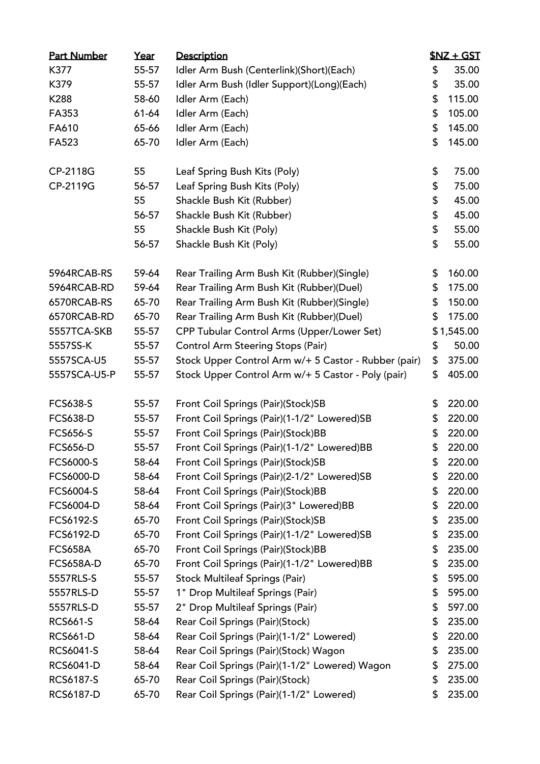| <b>Part Number</b> | Year  | Description                                          | $SNZ + GST$  |
|--------------------|-------|------------------------------------------------------|--------------|
| K377               | 55-57 | Idler Arm Bush (Centerlink)(Short)(Each)             | \$<br>35.00  |
| K379               | 55-57 | Idler Arm Bush (Idler Support)(Long)(Each)           | \$<br>35.00  |
| K288               | 58-60 | Idler Arm (Each)                                     | \$<br>115.00 |
| FA353              | 61-64 | Idler Arm (Each)                                     | \$<br>105.00 |
| FA610              | 65-66 | Idler Arm (Each)                                     | \$<br>145.00 |
| FA523              | 65-70 | Idler Arm (Each)                                     | \$<br>145.00 |
| CP-2118G           | 55    | Leaf Spring Bush Kits (Poly)                         | \$<br>75.00  |
| CP-2119G           | 56-57 | Leaf Spring Bush Kits (Poly)                         | \$<br>75.00  |
|                    | 55    | Shackle Bush Kit (Rubber)                            | \$<br>45.00  |
|                    | 56-57 | Shackle Bush Kit (Rubber)                            | \$<br>45.00  |
|                    | 55    | Shackle Bush Kit (Poly)                              | \$<br>55.00  |
|                    | 56-57 | Shackle Bush Kit (Poly)                              | \$<br>55.00  |
| 5964RCAB-RS        | 59-64 | Rear Trailing Arm Bush Kit (Rubber)(Single)          | \$<br>160.00 |
| 5964RCAB-RD        | 59-64 | Rear Trailing Arm Bush Kit (Rubber)(Duel)            | \$<br>175.00 |
| 6570RCAB-RS        | 65-70 | Rear Trailing Arm Bush Kit (Rubber)(Single)          | \$<br>150.00 |
| 6570RCAB-RD        | 65-70 | Rear Trailing Arm Bush Kit (Rubber)(Duel)            | \$<br>175.00 |
| 5557TCA-SKB        | 55-57 | CPP Tubular Control Arms (Upper/Lower Set)           | \$1,545.00   |
| 5557SS-K           | 55-57 | <b>Control Arm Steering Stops (Pair)</b>             | \$<br>50.00  |
| 5557SCA-U5         | 55-57 | Stock Upper Control Arm w/+ 5 Castor - Rubber (pair) | \$<br>375.00 |
| 5557SCA-U5-P       | 55-57 | Stock Upper Control Arm w/+ 5 Castor - Poly (pair)   | \$<br>405.00 |
| <b>FCS638-S</b>    | 55-57 | Front Coil Springs (Pair)(Stock)SB                   | \$<br>220.00 |
| <b>FCS638-D</b>    | 55-57 | Front Coil Springs (Pair)(1-1/2" Lowered)SB          | \$<br>220.00 |
| <b>FCS656-S</b>    | 55-57 | Front Coil Springs (Pair)(Stock)BB                   | \$<br>220.00 |
| <b>FCS656-D</b>    | 55-57 | Front Coil Springs (Pair)(1-1/2" Lowered)BB          | \$<br>220.00 |
| <b>FCS6000-S</b>   | 58-64 | Front Coil Springs (Pair)(Stock)SB                   | \$<br>220.00 |
| FCS6000-D          | 58-64 | Front Coil Springs (Pair)(2-1/2" Lowered)SB          | \$<br>220.00 |
| FCS6004-S          | 58-64 | Front Coil Springs (Pair)(Stock)BB                   | \$<br>220.00 |
| FCS6004-D          | 58-64 | Front Coil Springs (Pair)(3" Lowered)BB              | \$<br>220.00 |
| FCS6192-S          | 65-70 | Front Coil Springs (Pair)(Stock)SB                   | \$<br>235.00 |
| FCS6192-D          | 65-70 | Front Coil Springs (Pair)(1-1/2" Lowered)SB          | \$<br>235.00 |
| <b>FCS658A</b>     | 65-70 | Front Coil Springs (Pair)(Stock)BB                   | \$<br>235.00 |
| <b>FCS658A-D</b>   | 65-70 | Front Coil Springs (Pair)(1-1/2" Lowered)BB          | \$<br>235.00 |
| 5557RLS-S          | 55-57 | <b>Stock Multileaf Springs (Pair)</b>                | \$<br>595.00 |
| 5557RLS-D          | 55-57 | 1" Drop Multileaf Springs (Pair)                     | \$<br>595.00 |
| 5557RLS-D          | 55-57 | 2" Drop Multileaf Springs (Pair)                     | \$<br>597.00 |
| <b>RCS661-S</b>    | 58-64 | Rear Coil Springs (Pair)(Stock)                      | \$<br>235.00 |
| <b>RCS661-D</b>    | 58-64 | Rear Coil Springs (Pair)(1-1/2" Lowered)             | \$<br>220.00 |
| RCS6041-S          | 58-64 | Rear Coil Springs (Pair)(Stock) Wagon                | \$<br>235.00 |
| <b>RCS6041-D</b>   | 58-64 | Rear Coil Springs (Pair)(1-1/2" Lowered) Wagon       | \$<br>275.00 |
| <b>RCS6187-S</b>   | 65-70 | Rear Coil Springs (Pair)(Stock)                      | \$<br>235.00 |
| <b>RCS6187-D</b>   | 65-70 | Rear Coil Springs (Pair)(1-1/2" Lowered)             | \$<br>235.00 |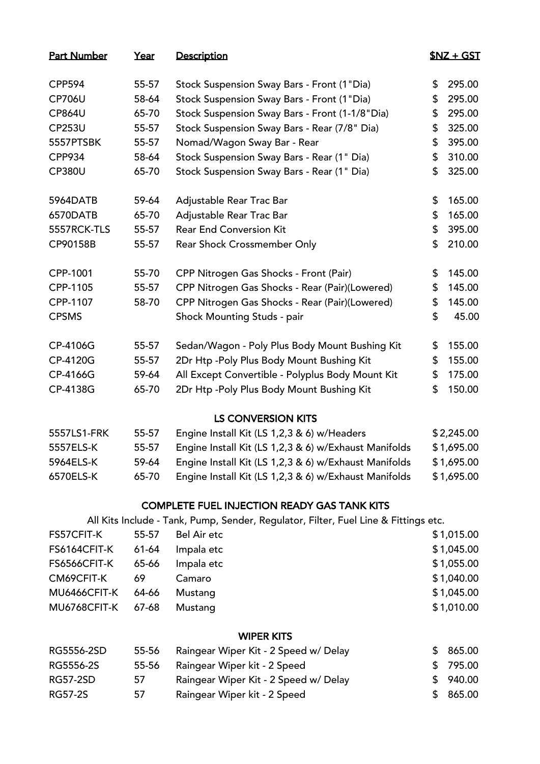| <b>Part Number</b> | Year  | Description                                                                         | $SNZ + GST$  |
|--------------------|-------|-------------------------------------------------------------------------------------|--------------|
| <b>CPP594</b>      | 55-57 | Stock Suspension Sway Bars - Front (1"Dia)                                          | \$<br>295.00 |
| <b>CP706U</b>      | 58-64 | Stock Suspension Sway Bars - Front (1"Dia)                                          | \$<br>295.00 |
| <b>CP864U</b>      | 65-70 | Stock Suspension Sway Bars - Front (1-1/8"Dia)                                      | \$<br>295.00 |
| <b>CP253U</b>      | 55-57 | Stock Suspension Sway Bars - Rear (7/8" Dia)                                        | \$<br>325.00 |
| 5557PTSBK          | 55-57 | Nomad/Wagon Sway Bar - Rear                                                         | \$<br>395.00 |
| <b>CPP934</b>      | 58-64 | Stock Suspension Sway Bars - Rear (1" Dia)                                          | \$<br>310.00 |
| <b>CP380U</b>      | 65-70 | Stock Suspension Sway Bars - Rear (1" Dia)                                          | \$<br>325.00 |
| 5964DATB           | 59-64 | Adjustable Rear Trac Bar                                                            | \$<br>165.00 |
| 6570DATB           | 65-70 | Adjustable Rear Trac Bar                                                            | \$<br>165.00 |
| 5557RCK-TLS        | 55-57 | <b>Rear End Conversion Kit</b>                                                      | \$<br>395.00 |
| CP90158B           | 55-57 | Rear Shock Crossmember Only                                                         | \$<br>210.00 |
| CPP-1001           | 55-70 | CPP Nitrogen Gas Shocks - Front (Pair)                                              | \$<br>145.00 |
| CPP-1105           | 55-57 | CPP Nitrogen Gas Shocks - Rear (Pair)(Lowered)                                      | \$<br>145.00 |
| CPP-1107           | 58-70 | CPP Nitrogen Gas Shocks - Rear (Pair)(Lowered)                                      | \$<br>145.00 |
| <b>CPSMS</b>       |       | Shock Mounting Studs - pair                                                         | \$<br>45.00  |
| CP-4106G           | 55-57 | Sedan/Wagon - Poly Plus Body Mount Bushing Kit                                      | \$<br>155.00 |
| CP-4120G           | 55-57 | 2Dr Htp - Poly Plus Body Mount Bushing Kit                                          | \$<br>155.00 |
| CP-4166G           | 59-64 | All Except Convertible - Polyplus Body Mount Kit                                    | \$<br>175.00 |
| CP-4138G           | 65-70 | 2Dr Htp - Poly Plus Body Mount Bushing Kit                                          | \$<br>150.00 |
|                    |       | <b>LS CONVERSION KITS</b>                                                           |              |
| 5557LS1-FRK        | 55-57 | Engine Install Kit (LS 1,2,3 & 6) w/Headers                                         | \$2,245.00   |
| 5557ELS-K          | 55-57 | Engine Install Kit (LS 1,2,3 & 6) w/Exhaust Manifolds                               | \$1,695.00   |
| 5964ELS-K          | 59-64 | Engine Install Kit (LS 1,2,3 & 6) w/Exhaust Manifolds                               | \$1,695.00   |
| 6570ELS-K          | 65-70 | Engine Install Kit (LS 1,2,3 & 6) w/Exhaust Manifolds                               | \$1,695.00   |
|                    |       | <b>COMPLETE FUEL INJECTION READY GAS TANK KITS</b>                                  |              |
|                    |       | All Kits Include - Tank, Pump, Sender, Regulator, Filter, Fuel Line & Fittings etc. |              |

| FS57CFIT-K         | 55-57 | Bel Air etc | \$1,015.00 |
|--------------------|-------|-------------|------------|
| FS6164CFIT-K       | 61-64 | Impala etc  | \$1,045.00 |
| FS6566CFIT-K       | 65-66 | Impala etc  | \$1,055.00 |
| CM69CFIT-K         | -69   | Camaro      | \$1,040.00 |
| MU6466CFIT-K 64-66 |       | Mustang     | \$1,045.00 |
| MU6768CFIT-K 67-68 |       | Mustang     | \$1,010.00 |
|                    |       |             |            |

## WIPER KITS

| RG5556-2SD | 55-56 | Raingear Wiper Kit - 2 Speed w/ Delay | \$865.00 |
|------------|-------|---------------------------------------|----------|
| RG5556-2S  | 55-56 | Raingear Wiper kit - 2 Speed          | \$795.00 |
| RG57-2SD   | 57    | Raingear Wiper Kit - 2 Speed w/ Delay | \$940.00 |
| RG57-2S    | 57    | Raingear Wiper kit - 2 Speed          | \$865.00 |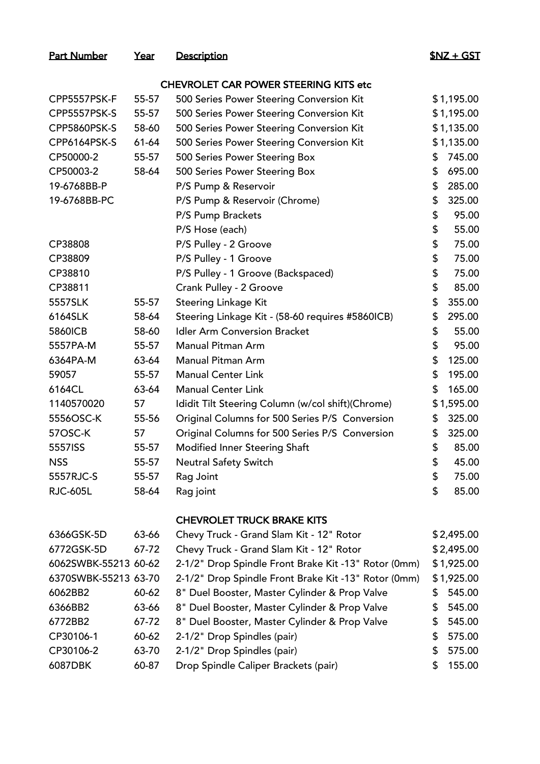### Part Number Year Description **1996** Part Number 1997 SNZ + GST

## CHEVROLET CAR POWER STEERING KITS etc

| CPP5557PSK-F    | 55-57 | 500 Series Power Steering Conversion Kit          | \$1,195.00   |
|-----------------|-------|---------------------------------------------------|--------------|
| CPP5557PSK-S    | 55-57 | 500 Series Power Steering Conversion Kit          | \$1,195.00   |
| CPP5860PSK-S    | 58-60 | 500 Series Power Steering Conversion Kit          | \$1,135.00   |
| CPP6164PSK-S    | 61-64 | 500 Series Power Steering Conversion Kit          | \$1,135.00   |
| CP50000-2       | 55-57 | 500 Series Power Steering Box                     | \$<br>745.00 |
| CP50003-2       | 58-64 | 500 Series Power Steering Box                     | \$<br>695.00 |
| 19-6768BB-P     |       | P/S Pump & Reservoir                              | \$<br>285.00 |
| 19-6768BB-PC    |       | P/S Pump & Reservoir (Chrome)                     | \$<br>325.00 |
|                 |       | P/S Pump Brackets                                 | \$<br>95.00  |
|                 |       | P/S Hose (each)                                   | \$<br>55.00  |
| CP38808         |       | P/S Pulley - 2 Groove                             | \$<br>75.00  |
| CP38809         |       | P/S Pulley - 1 Groove                             | \$<br>75.00  |
| CP38810         |       | P/S Pulley - 1 Groove (Backspaced)                | \$<br>75.00  |
| CP38811         |       | Crank Pulley - 2 Groove                           | \$<br>85.00  |
| 5557SLK         | 55-57 | Steering Linkage Kit                              | \$<br>355.00 |
| 6164SLK         | 58-64 | Steering Linkage Kit - (58-60 requires #5860ICB)  | \$<br>295.00 |
| <b>5860ICB</b>  | 58-60 | <b>Idler Arm Conversion Bracket</b>               | \$<br>55.00  |
| 5557PA-M        | 55-57 | Manual Pitman Arm                                 | \$<br>95.00  |
| 6364PA-M        | 63-64 | Manual Pitman Arm                                 | \$<br>125.00 |
| 59057           | 55-57 | <b>Manual Center Link</b>                         | \$<br>195.00 |
| 6164CL          | 63-64 | <b>Manual Center Link</b>                         | \$<br>165.00 |
| 1140570020      | 57    | Ididit Tilt Steering Column (w/col shift)(Chrome) | \$1,595.00   |
| 5556OSC-K       | 55-56 | Original Columns for 500 Series P/S Conversion    | \$<br>325.00 |
| 57OSC-K         | 57    | Original Columns for 500 Series P/S Conversion    | \$<br>325.00 |
| 5557ISS         | 55-57 | Modified Inner Steering Shaft                     | \$<br>85.00  |
| <b>NSS</b>      | 55-57 | <b>Neutral Safety Switch</b>                      | \$<br>45.00  |
| 5557RJC-S       | 55-57 | Rag Joint                                         | \$<br>75.00  |
| <b>RJC-605L</b> | 58-64 | Rag joint                                         | \$<br>85.00  |
|                 |       |                                                   |              |

## CHEVROLET TRUCK BRAKE KITS

| 6366GSK-5D           | 63-66 | Chevy Truck - Grand Slam Kit - 12" Rotor             |    | \$2,495.00 |
|----------------------|-------|------------------------------------------------------|----|------------|
| 6772GSK-5D           | 67-72 | Chevy Truck - Grand Slam Kit - 12" Rotor             |    | \$2,495.00 |
| 6062SWBK-55213 60-62 |       | 2-1/2" Drop Spindle Front Brake Kit -13" Rotor (0mm) |    | \$1,925.00 |
| 6370SWBK-55213 63-70 |       | 2-1/2" Drop Spindle Front Brake Kit -13" Rotor (0mm) |    | \$1,925.00 |
| 6062BB2              | 60-62 | 8" Duel Booster, Master Cylinder & Prop Valve        | S. | 545.00     |
| 6366BB2              | 63-66 | 8" Duel Booster, Master Cylinder & Prop Valve        | S. | 545.00     |
| 6772BB2              | 67-72 | 8" Duel Booster, Master Cylinder & Prop Valve        | S. | 545.00     |
| CP30106-1            | 60-62 | 2-1/2" Drop Spindles (pair)                          | S. | 575.00     |
| CP30106-2            | 63-70 | 2-1/2" Drop Spindles (pair)                          | S. | 575.00     |
| 6087DBK              | 60-87 | Drop Spindle Caliper Brackets (pair)                 |    | 155.00     |